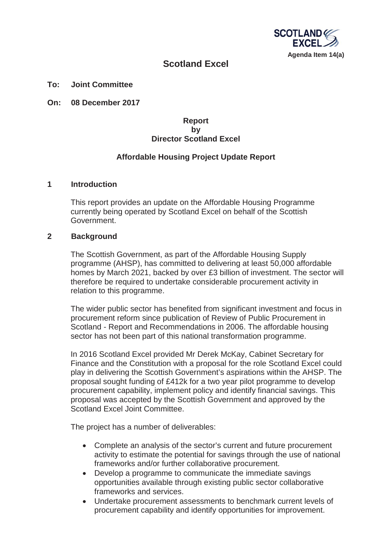

# **Scotland Excel**

**To: Joint Committee**

**On: 08 December 2017** 

## **Report by Director Scotland Excel**

# **Affordable Housing Project Update Report**

#### **1 Introduction**

This report provides an update on the Affordable Housing Programme currently being operated by Scotland Excel on behalf of the Scottish Government.

#### **2 Background**

The Scottish Government, as part of the Affordable Housing Supply programme (AHSP), has committed to delivering at least 50,000 affordable homes by March 2021, backed by over £3 billion of investment. The sector will therefore be required to undertake considerable procurement activity in relation to this programme.

The wider public sector has benefited from significant investment and focus in procurement reform since publication of Review of Public Procurement in Scotland - Report and Recommendations in 2006. The affordable housing sector has not been part of this national transformation programme.

In 2016 Scotland Excel provided Mr Derek McKay, Cabinet Secretary for Finance and the Constitution with a proposal for the role Scotland Excel could play in delivering the Scottish Government's aspirations within the AHSP. The proposal sought funding of £412k for a two year pilot programme to develop procurement capability, implement policy and identify financial savings. This proposal was accepted by the Scottish Government and approved by the Scotland Excel Joint Committee.

The project has a number of deliverables:

- Complete an analysis of the sector's current and future procurement activity to estimate the potential for savings through the use of national frameworks and/or further collaborative procurement.
- Develop a programme to communicate the immediate savings opportunities available through existing public sector collaborative frameworks and services.
- Undertake procurement assessments to benchmark current levels of procurement capability and identify opportunities for improvement.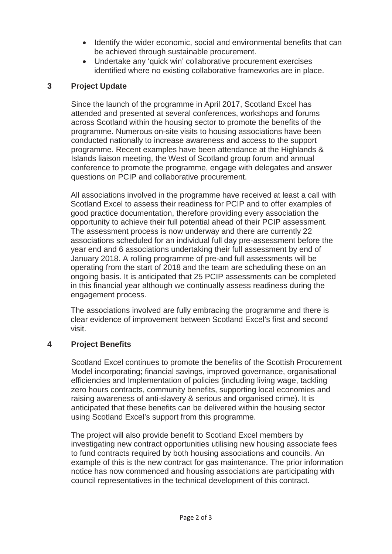- Identify the wider economic, social and environmental benefits that can be achieved through sustainable procurement.
- Undertake any 'quick win' collaborative procurement exercises identified where no existing collaborative frameworks are in place.

# **3 Project Update**

Since the launch of the programme in April 2017, Scotland Excel has attended and presented at several conferences, workshops and forums across Scotland within the housing sector to promote the benefits of the programme. Numerous on-site visits to housing associations have been conducted nationally to increase awareness and access to the support programme. Recent examples have been attendance at the Highlands & Islands liaison meeting, the West of Scotland group forum and annual conference to promote the programme, engage with delegates and answer questions on PCIP and collaborative procurement.

All associations involved in the programme have received at least a call with Scotland Excel to assess their readiness for PCIP and to offer examples of good practice documentation, therefore providing every association the opportunity to achieve their full potential ahead of their PCIP assessment. The assessment process is now underway and there are currently 22 associations scheduled for an individual full day pre-assessment before the year end and 6 associations undertaking their full assessment by end of January 2018. A rolling programme of pre-and full assessments will be operating from the start of 2018 and the team are scheduling these on an ongoing basis. It is anticipated that 25 PCIP assessments can be completed in this financial year although we continually assess readiness during the engagement process.

The associations involved are fully embracing the programme and there is clear evidence of improvement between Scotland Excel's first and second visit.

## **4 Project Benefits**

Scotland Excel continues to promote the benefits of the Scottish Procurement Model incorporating; financial savings, improved governance, organisational efficiencies and Implementation of policies (including living wage, tackling zero hours contracts, community benefits, supporting local economies and raising awareness of anti-slavery & serious and organised crime). It is anticipated that these benefits can be delivered within the housing sector using Scotland Excel's support from this programme.

The project will also provide benefit to Scotland Excel members by investigating new contract opportunities utilising new housing associate fees to fund contracts required by both housing associations and councils. An example of this is the new contract for gas maintenance. The prior information notice has now commenced and housing associations are participating with council representatives in the technical development of this contract.